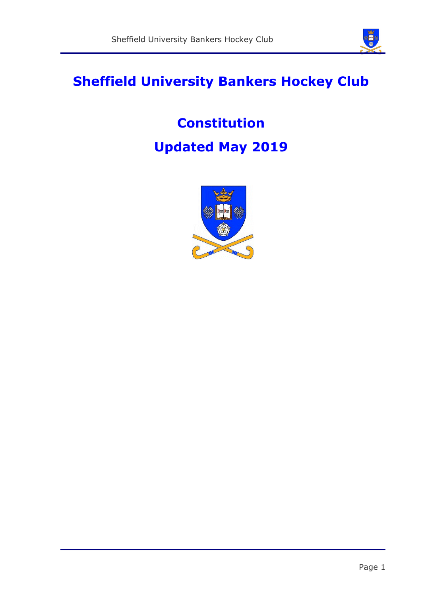

# **Sheffield University Bankers Hockey Club**

# **Constitution Updated May 2019**

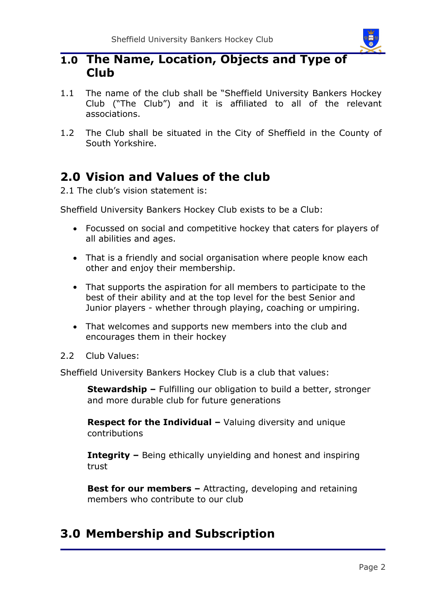

### **1.0 The Name, Location, Objects and Type of Club**

- 1.1 The name of the club shall be "Sheffield University Bankers Hockey Club ("The Club") and it is affiliated to all of the relevant associations.
- 1.2 The Club shall be situated in the City of Sheffield in the County of South Yorkshire.

# **2.0 Vision and Values of the club**

2.1 The club's vision statement is:

Sheffield University Bankers Hockey Club exists to be a Club:

- Focussed on social and competitive hockey that caters for players of all abilities and ages.
- That is a friendly and social organisation where people know each other and enjoy their membership.
- That supports the aspiration for all members to participate to the best of their ability and at the top level for the best Senior and Junior players - whether through playing, coaching or umpiring.
- That welcomes and supports new members into the club and encourages them in their hockey
- 2.2 Club Values:

Sheffield University Bankers Hockey Club is a club that values:

**Stewardship –** Fulfilling our obligation to build a better, stronger and more durable club for future generations

**Respect for the Individual –** Valuing diversity and unique contributions

**Integrity –** Being ethically unyielding and honest and inspiring trust

**Best for our members - Attracting, developing and retaining** members who contribute to our club

# **3.0 Membership and Subscription**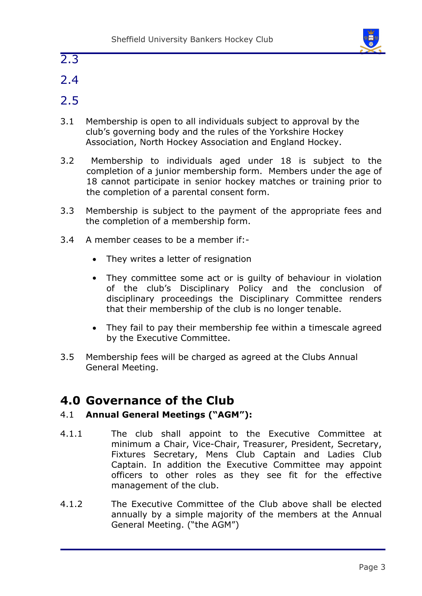

- 2.3
- 2.4
- 2.5
- 3.1 Membership is open to all individuals subject to approval by the club's governing body and the rules of the Yorkshire Hockey Association, North Hockey Association and England Hockey.
- 3.2 Membership to individuals aged under 18 is subject to the completion of a junior membership form. Members under the age of 18 cannot participate in senior hockey matches or training prior to the completion of a parental consent form.
- 3.3 Membership is subject to the payment of the appropriate fees and the completion of a membership form.
- 3.4 A member ceases to be a member if:-
	- They writes a letter of resignation
	- They committee some act or is guilty of behaviour in violation of the club's Disciplinary Policy and the conclusion of disciplinary proceedings the Disciplinary Committee renders that their membership of the club is no longer tenable.
	- They fail to pay their membership fee within a timescale agreed by the Executive Committee.
- 3.5 Membership fees will be charged as agreed at the Clubs Annual General Meeting.

### **4.0 Governance of the Club**

#### 4.1 **Annual General Meetings ("AGM"):**

- 4.1.1 The club shall appoint to the Executive Committee at minimum a Chair, Vice-Chair, Treasurer, President, Secretary, Fixtures Secretary, Mens Club Captain and Ladies Club Captain. In addition the Executive Committee may appoint officers to other roles as they see fit for the effective management of the club.
- 4.1.2 The Executive Committee of the Club above shall be elected annually by a simple majority of the members at the Annual General Meeting. ("the AGM")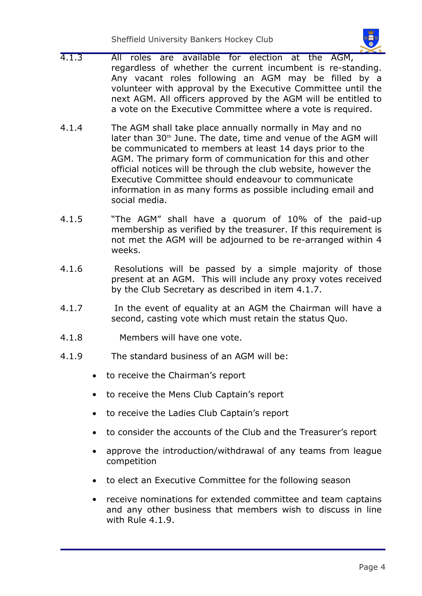Sheffield University Bankers Hockey Club

- 
- 4.1.3 All roles are available for election at the AGM, regardless of whether the current incumbent is re-standing. Any vacant roles following an AGM may be filled by a volunteer with approval by the Executive Committee until the next AGM. All officers approved by the AGM will be entitled to a vote on the Executive Committee where a vote is required.
- 4.1.4 The AGM shall take place annually normally in May and no later than 30<sup>th</sup> June. The date, time and venue of the AGM will be communicated to members at least 14 days prior to the AGM. The primary form of communication for this and other official notices will be through the club website, however the Executive Committee should endeavour to communicate information in as many forms as possible including email and social media.
- 4.1.5 "The AGM" shall have a quorum of 10% of the paid-up membership as verified by the treasurer. If this requirement is not met the AGM will be adjourned to be re-arranged within 4 weeks.
- 4.1.6 Resolutions will be passed by a simple majority of those present at an AGM. This will include any proxy votes received by the Club Secretary as described in item 4.1.7.
- 4.1.7 In the event of equality at an AGM the Chairman will have a second, casting vote which must retain the status Quo.
- 4.1.8 Members will have one vote.
- 4.1.9 The standard business of an AGM will be:
	- to receive the Chairman's report
	- to receive the Mens Club Captain's report
	- to receive the Ladies Club Captain's report
	- to consider the accounts of the Club and the Treasurer's report
	- approve the introduction/withdrawal of any teams from league competition
	- to elect an Executive Committee for the following season
	- receive nominations for extended committee and team captains and any other business that members wish to discuss in line with Rule 4.1.9.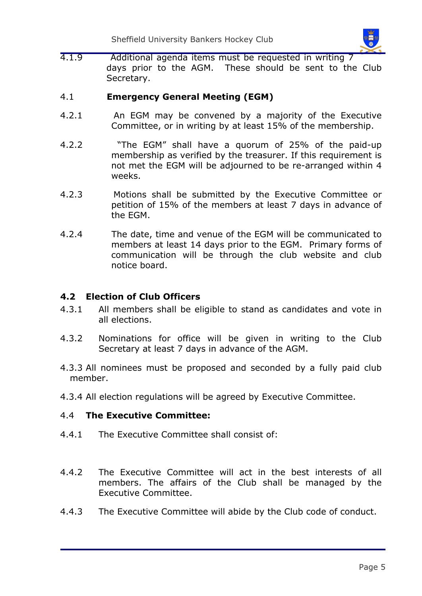4.1.9 Additional agenda items must be requested in writing 7 days prior to the AGM. These should be sent to the Club Secretary.

#### 4.1 **Emergency General Meeting (EGM)**

- 4.2.1 An EGM may be convened by a majority of the Executive Committee, or in writing by at least 15% of the membership.
- 4.2.2 "The EGM" shall have a quorum of 25% of the paid-up membership as verified by the treasurer. If this requirement is not met the EGM will be adjourned to be re-arranged within 4 weeks.
- 4.2.3 Motions shall be submitted by the Executive Committee or petition of 15% of the members at least 7 days in advance of the EGM.
- 4.2.4 The date, time and venue of the EGM will be communicated to members at least 14 days prior to the EGM. Primary forms of communication will be through the club website and club notice board.

#### **4.2 Election of Club Officers**

- 4.3.1 All members shall be eligible to stand as candidates and vote in all elections.
- 4.3.2 Nominations for office will be given in writing to the Club Secretary at least 7 days in advance of the AGM.
- 4.3.3 All nominees must be proposed and seconded by a fully paid club member.
- 4.3.4 All election regulations will be agreed by Executive Committee.

#### 4.4 **The Executive Committee:**

- 4.4.1 The Executive Committee shall consist of:
- 4.4.2 The Executive Committee will act in the best interests of all members. The affairs of the Club shall be managed by the Executive Committee.
- 4.4.3 The Executive Committee will abide by the Club code of conduct.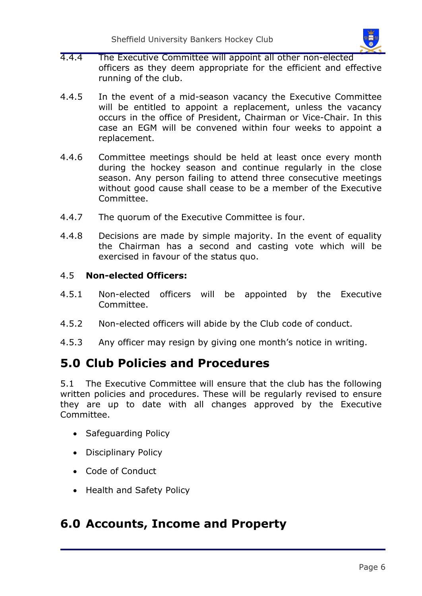

- 4.4.4 The Executive Committee will appoint all other non-elected officers as they deem appropriate for the efficient and effective running of the club.
- 4.4.5 In the event of a mid-season vacancy the Executive Committee will be entitled to appoint a replacement, unless the vacancy occurs in the office of President, Chairman or Vice-Chair. In this case an EGM will be convened within four weeks to appoint a replacement.
- 4.4.6 Committee meetings should be held at least once every month during the hockey season and continue regularly in the close season. Any person failing to attend three consecutive meetings without good cause shall cease to be a member of the Executive Committee.
- 4.4.7 The quorum of the Executive Committee is four.
- 4.4.8 Decisions are made by simple majority. In the event of equality the Chairman has a second and casting vote which will be exercised in favour of the status quo.

#### 4.5 **Non-elected Officers:**

- 4.5.1 Non-elected officers will be appointed by the Executive Committee.
- 4.5.2 Non-elected officers will abide by the Club code of conduct.
- 4.5.3 Any officer may resign by giving one month's notice in writing.

### **5.0 Club Policies and Procedures**

5.1 The Executive Committee will ensure that the club has the following written policies and procedures. These will be regularly revised to ensure they are up to date with all changes approved by the Executive Committee.

- Safeguarding Policy
- Disciplinary Policy
- Code of Conduct
- Health and Safety Policy

### **6.0 Accounts, Income and Property**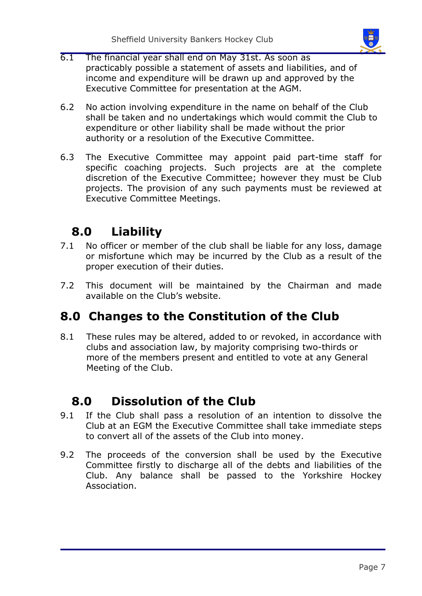

- 6.1 The financial year shall end on May 31st. As soon as practicably possible a statement of assets and liabilities, and of income and expenditure will be drawn up and approved by the Executive Committee for presentation at the AGM.
- 6.2 No action involving expenditure in the name on behalf of the Club shall be taken and no undertakings which would commit the Club to expenditure or other liability shall be made without the prior authority or a resolution of the Executive Committee.
- 6.3 The Executive Committee may appoint paid part-time staff for specific coaching projects. Such projects are at the complete discretion of the Executive Committee; however they must be Club projects. The provision of any such payments must be reviewed at Executive Committee Meetings.

# **8.0 Liability**

- 7.1 No officer or member of the club shall be liable for any loss, damage or misfortune which may be incurred by the Club as a result of the proper execution of their duties.
- 7.2 This document will be maintained by the Chairman and made available on the Club's website.

### **8.0 Changes to the Constitution of the Club**

8.1 These rules may be altered, added to or revoked, in accordance with clubs and association law, by majority comprising two-thirds or more of the members present and entitled to vote at any General Meeting of the Club.

# **8.0 Dissolution of the Club**

- 9.1 If the Club shall pass a resolution of an intention to dissolve the Club at an EGM the Executive Committee shall take immediate steps to convert all of the assets of the Club into money.
- 9.2 The proceeds of the conversion shall be used by the Executive Committee firstly to discharge all of the debts and liabilities of the Club. Any balance shall be passed to the Yorkshire Hockey Association.